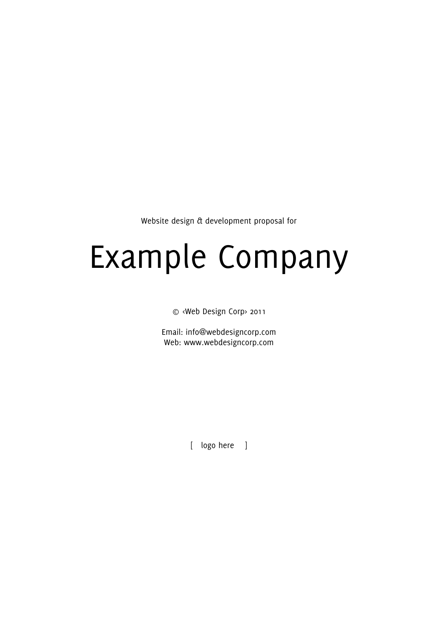Website design & development proposal for

# Example Company

© <Web Design Corp> 2011

Email: info@webdesigncorp.com Web: www.webdesigncorp.com

[ logo here ]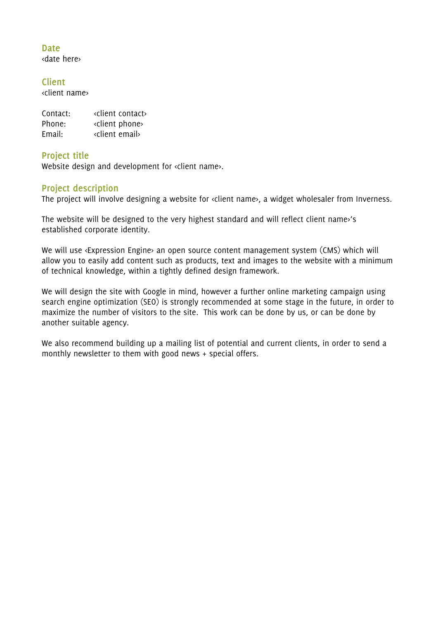## **Date** <date here>

**Client** <client name>

| Contact: | <client contact=""></client> |
|----------|------------------------------|
| Phone:   | «client phone»               |
| Email:   | «client email»               |

# **Project title**

Website design and development for «client name».

# **Project description**

The project will involve designing a website for «client name», a widget wholesaler from Inverness.

The website will be designed to the very highest standard and will reflect client name>'s established corporate identity.

We will use «Expression Engine» an open source content management system (CMS) which will allow you to easily add content such as products, text and images to the website with a minimum of technical knowledge, within a tightly defined design framework.

We will design the site with Google in mind, however a further online marketing campaign using search engine optimization (SEO) is strongly recommended at some stage in the future, in order to maximize the number of visitors to the site. This work can be done by us, or can be done by another suitable agency.

We also recommend building up a mailing list of potential and current clients, in order to send a monthly newsletter to them with good news + special offers.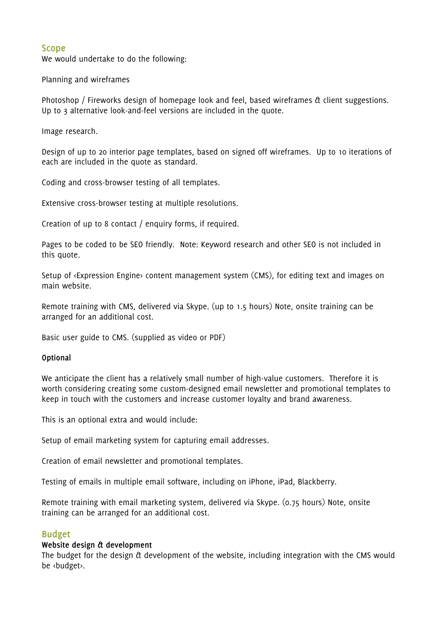# **Scope**

We would undertake to do the following:

Planning and wireframes

Photoshop / Fireworks design of homepage look and feel, based wireframes & client suggestions. Up to 3 alternative look-and-feel versions are included in the quote.

Image research.

Design of up to 20 interior page templates, based on signed off wireframes. Up to 10 iterations of each are included in the quote as standard.

Coding and cross-browser testing of all templates.

Extensive cross-browser testing at multiple resolutions.

Creation of up to 8 contact / enquiry forms, if required.

Pages to be coded to be SEO friendly. Note: Keyword research and other SEO is not included in this quote.

Setup of <Expression Engine> content management system (CMS), for editing text and images on main website.

Remote training with CMS, delivered via Skype. (up to 1.5 hours) Note, onsite training can be arranged for an additional cost.

Basic user guide to CMS. (supplied as video or PDF)

## **Optional**

We anticipate the client has a relatively small number of high-value customers. Therefore it is worth considering creating some custom-designed email newsletter and promotional templates to keep in touch with the customers and increase customer loyalty and brand awareness.

This is an optional extra and would include:

Setup of email marketing system for capturing email addresses.

Creation of email newsletter and promotional templates.

Testing of emails in multiple email software, including on iPhone, iPad, Blackberry.

Remote training with email marketing system, delivered via Skype. (0.75 hours) Note, onsite training can be arranged for an additional cost.

# **Budget**

## **Website design & development**

The budget for the design & development of the website, including integration with the CMS would be <br/>budget>.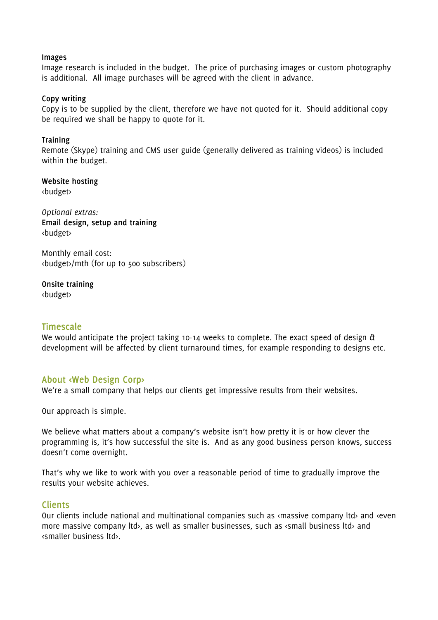#### **Images**

Image research is included in the budget. The price of purchasing images or custom photography is additional. All image purchases will be agreed with the client in advance.

## **Copy writing**

Copy is to be supplied by the client, therefore we have not quoted for it. Should additional copy be required we shall be happy to quote for it.

#### **Training**

Remote (Skype) training and CMS user guide (generally delivered as training videos) is included within the budget.

**Website hosting** <budget>

*Optional extras:* **Email design, setup and training** <budget>

Monthly email cost: <budget>/mth (for up to 500 subscribers)

**Onsite training** <budget>

## **Timescale**

We would anticipate the project taking 10-14 weeks to complete. The exact speed of design  $\alpha$ development will be affected by client turnaround times, for example responding to designs etc.

# **About <Web Design Corp>**

We're a small company that helps our clients get impressive results from their websites.

Our approach is simple.

We believe what matters about a company's website isn't how pretty it is or how clever the programming is, it's how successful the site is. And as any good business person knows, success doesn't come overnight.

That's why we like to work with you over a reasonable period of time to gradually improve the results your website achieves.

## **Clients**

Our clients include national and multinational companies such as «massive company ltd» and «even more massive company ltd>, as well as smaller businesses, such as <small business ltd> and <smaller business ltd>.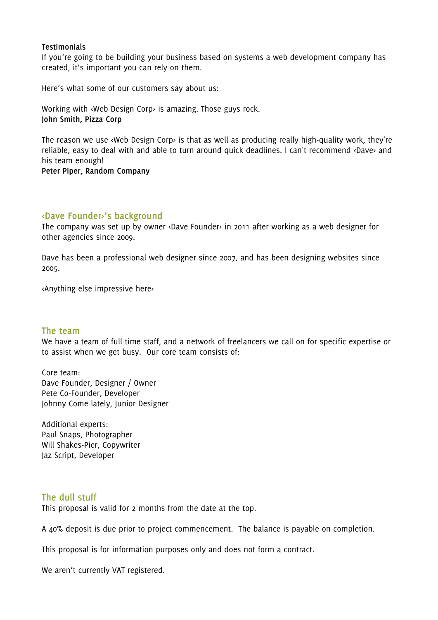#### **Testimonials**

If you're going to be building your business based on systems a web development company has created, it's important you can rely on them.

Here's what some of our customers say about us:

Working with <Web Design Corp> is amazing. Those guys rock. **John Smith, Pizza Corp**

The reason we use <Web Design Corp> is that as well as producing really high-quality work, they're reliable, easy to deal with and able to turn around quick deadlines. I can't recommend <Dave> and his team enough!

**Peter Piper, Random Company**

# **<Dave Founder>'s background**

The company was set up by owner <Dave Founder> in 2011 after working as a web designer for other agencies since 2009.

Dave has been a professional web designer since 2007, and has been designing websites since 2005.

<Anything else impressive here>

## **The team**

We have a team of full-time staff, and a network of freelancers we call on for specific expertise or to assist when we get busy. Our core team consists of:

Core team: Dave Founder, Designer / Owner Pete Co-Founder, Developer Johnny Come-lately, Junior Designer

Additional experts: Paul Snaps, Photographer Will Shakes-Pier, Copywriter Jaz Script, Developer

## **The dull stuff**

This proposal is valid for 2 months from the date at the top.

A 40% deposit is due prior to project commencement. The balance is payable on completion.

This proposal is for information purposes only and does not form a contract.

We aren't currently VAT registered.